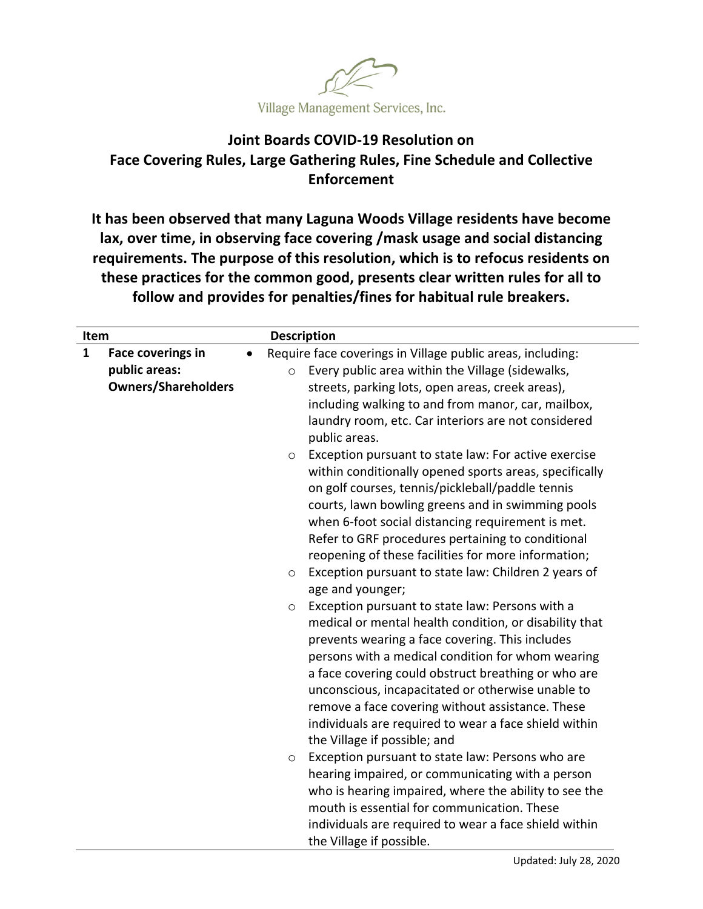

## **Joint Boards COVID‐19 Resolution on Face Covering Rules, Large Gathering Rules, Fine Schedule and Collective Enforcement**

**It has been observed that many Laguna Woods Village residents have become lax, over time, in observing face covering /mask usage and social distancing requirements. The purpose of this resolution, which is to refocus residents on these practices for the common good, presents clear written rules for all to follow and provides for penalties/fines for habitual rule breakers.**

| Item                                                                                    | <b>Description</b>                                                                                                                                                                                                                                                                                                                                                                                                                                                                                                                                                                                                                                                                                                                                                                                                                                                                                                                                                                                                                                                                                                                                                                                                                                                                                                                                                                                                                                                                                                                                                                                                        |
|-----------------------------------------------------------------------------------------|---------------------------------------------------------------------------------------------------------------------------------------------------------------------------------------------------------------------------------------------------------------------------------------------------------------------------------------------------------------------------------------------------------------------------------------------------------------------------------------------------------------------------------------------------------------------------------------------------------------------------------------------------------------------------------------------------------------------------------------------------------------------------------------------------------------------------------------------------------------------------------------------------------------------------------------------------------------------------------------------------------------------------------------------------------------------------------------------------------------------------------------------------------------------------------------------------------------------------------------------------------------------------------------------------------------------------------------------------------------------------------------------------------------------------------------------------------------------------------------------------------------------------------------------------------------------------------------------------------------------------|
| $\mathbf{1}$<br><b>Face coverings in</b><br>public areas:<br><b>Owners/Shareholders</b> | Require face coverings in Village public areas, including:<br>$\bullet$<br>Every public area within the Village (sidewalks,<br>$\circ$<br>streets, parking lots, open areas, creek areas),<br>including walking to and from manor, car, mailbox,<br>laundry room, etc. Car interiors are not considered<br>public areas.<br>Exception pursuant to state law: For active exercise<br>$\circ$<br>within conditionally opened sports areas, specifically<br>on golf courses, tennis/pickleball/paddle tennis<br>courts, lawn bowling greens and in swimming pools<br>when 6-foot social distancing requirement is met.<br>Refer to GRF procedures pertaining to conditional<br>reopening of these facilities for more information;<br>Exception pursuant to state law: Children 2 years of<br>$\circ$<br>age and younger;<br>Exception pursuant to state law: Persons with a<br>$\circ$<br>medical or mental health condition, or disability that<br>prevents wearing a face covering. This includes<br>persons with a medical condition for whom wearing<br>a face covering could obstruct breathing or who are<br>unconscious, incapacitated or otherwise unable to<br>remove a face covering without assistance. These<br>individuals are required to wear a face shield within<br>the Village if possible; and<br>Exception pursuant to state law: Persons who are<br>O<br>hearing impaired, or communicating with a person<br>who is hearing impaired, where the ability to see the<br>mouth is essential for communication. These<br>individuals are required to wear a face shield within<br>the Village if possible. |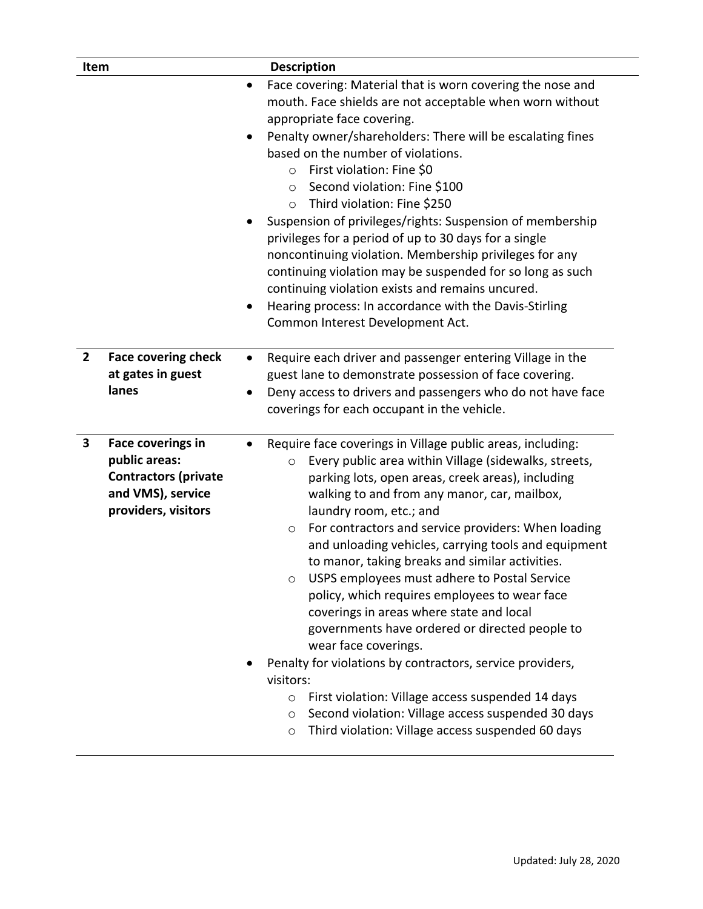| Item           |                                                                                                                      | <b>Description</b>                                                                                                                                                                                                                                                                                                                                                                                                                                                                                                                                                                                                                                                                                                                                                                                                                                                                                                                                 |
|----------------|----------------------------------------------------------------------------------------------------------------------|----------------------------------------------------------------------------------------------------------------------------------------------------------------------------------------------------------------------------------------------------------------------------------------------------------------------------------------------------------------------------------------------------------------------------------------------------------------------------------------------------------------------------------------------------------------------------------------------------------------------------------------------------------------------------------------------------------------------------------------------------------------------------------------------------------------------------------------------------------------------------------------------------------------------------------------------------|
|                |                                                                                                                      | Face covering: Material that is worn covering the nose and<br>$\bullet$<br>mouth. Face shields are not acceptable when worn without<br>appropriate face covering.<br>Penalty owner/shareholders: There will be escalating fines<br>based on the number of violations.<br>First violation: Fine \$0<br>$\circ$<br>Second violation: Fine \$100<br>$\circ$<br>Third violation: Fine \$250<br>$\circ$<br>Suspension of privileges/rights: Suspension of membership<br>privileges for a period of up to 30 days for a single<br>noncontinuing violation. Membership privileges for any<br>continuing violation may be suspended for so long as such<br>continuing violation exists and remains uncured.<br>Hearing process: In accordance with the Davis-Stirling<br>Common Interest Development Act.                                                                                                                                                  |
| $\overline{2}$ | <b>Face covering check</b><br>at gates in guest<br>lanes                                                             | Require each driver and passenger entering Village in the<br>$\bullet$<br>guest lane to demonstrate possession of face covering.<br>Deny access to drivers and passengers who do not have face<br>$\bullet$<br>coverings for each occupant in the vehicle.                                                                                                                                                                                                                                                                                                                                                                                                                                                                                                                                                                                                                                                                                         |
| 3              | <b>Face coverings in</b><br>public areas:<br><b>Contractors (private</b><br>and VMS), service<br>providers, visitors | Require face coverings in Village public areas, including:<br>Every public area within Village (sidewalks, streets,<br>$\circ$<br>parking lots, open areas, creek areas), including<br>walking to and from any manor, car, mailbox,<br>laundry room, etc.; and<br>For contractors and service providers: When loading<br>$\circ$<br>and unloading vehicles, carrying tools and equipment<br>to manor, taking breaks and similar activities.<br>USPS employees must adhere to Postal Service<br>O<br>policy, which requires employees to wear face<br>coverings in areas where state and local<br>governments have ordered or directed people to<br>wear face coverings.<br>Penalty for violations by contractors, service providers,<br>visitors:<br>First violation: Village access suspended 14 days<br>$\circ$<br>Second violation: Village access suspended 30 days<br>$\circ$<br>Third violation: Village access suspended 60 days<br>$\circ$ |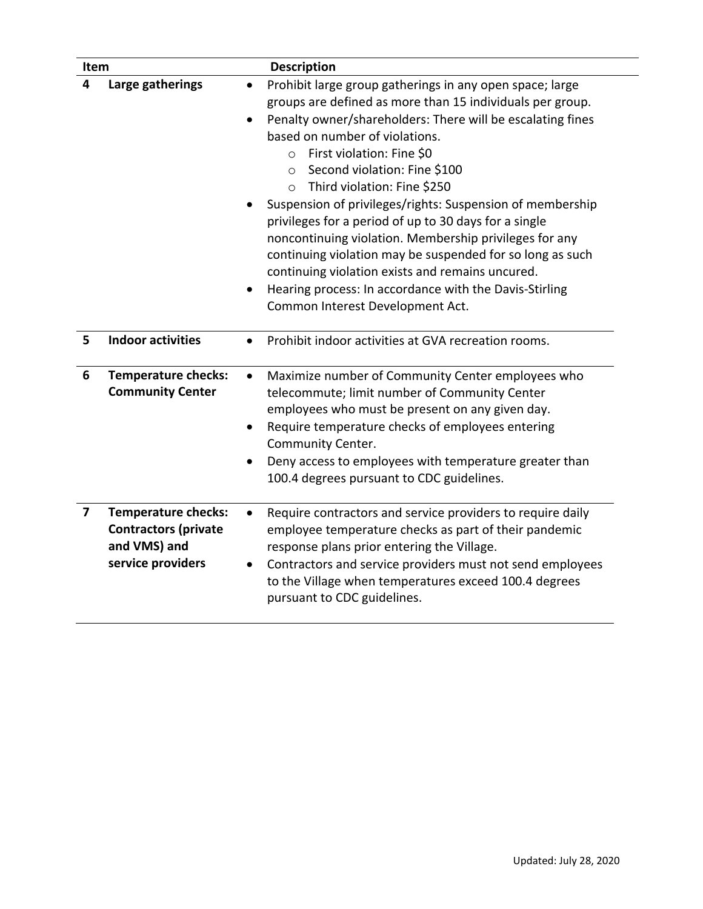| Item |                                                                                                | <b>Description</b>                                                                                                                                                                                                                                                                                                                                                                                                                                                                                                                                                                                                                                                                                                                                              |
|------|------------------------------------------------------------------------------------------------|-----------------------------------------------------------------------------------------------------------------------------------------------------------------------------------------------------------------------------------------------------------------------------------------------------------------------------------------------------------------------------------------------------------------------------------------------------------------------------------------------------------------------------------------------------------------------------------------------------------------------------------------------------------------------------------------------------------------------------------------------------------------|
| 4    | Large gatherings                                                                               | Prohibit large group gatherings in any open space; large<br>groups are defined as more than 15 individuals per group.<br>Penalty owner/shareholders: There will be escalating fines<br>$\bullet$<br>based on number of violations.<br>First violation: Fine \$0<br>$\Omega$<br>Second violation: Fine \$100<br>$\circ$<br>Third violation: Fine \$250<br>$\circ$<br>Suspension of privileges/rights: Suspension of membership<br>privileges for a period of up to 30 days for a single<br>noncontinuing violation. Membership privileges for any<br>continuing violation may be suspended for so long as such<br>continuing violation exists and remains uncured.<br>Hearing process: In accordance with the Davis-Stirling<br>Common Interest Development Act. |
| 5    | <b>Indoor activities</b>                                                                       | Prohibit indoor activities at GVA recreation rooms.                                                                                                                                                                                                                                                                                                                                                                                                                                                                                                                                                                                                                                                                                                             |
| 6    | <b>Temperature checks:</b><br><b>Community Center</b>                                          | Maximize number of Community Center employees who<br>$\bullet$<br>telecommute; limit number of Community Center<br>employees who must be present on any given day.<br>Require temperature checks of employees entering<br>Community Center.<br>Deny access to employees with temperature greater than<br>100.4 degrees pursuant to CDC guidelines.                                                                                                                                                                                                                                                                                                                                                                                                              |
| 7    | <b>Temperature checks:</b><br><b>Contractors (private</b><br>and VMS) and<br>service providers | Require contractors and service providers to require daily<br>$\bullet$<br>employee temperature checks as part of their pandemic<br>response plans prior entering the Village.<br>Contractors and service providers must not send employees<br>to the Village when temperatures exceed 100.4 degrees<br>pursuant to CDC guidelines.                                                                                                                                                                                                                                                                                                                                                                                                                             |